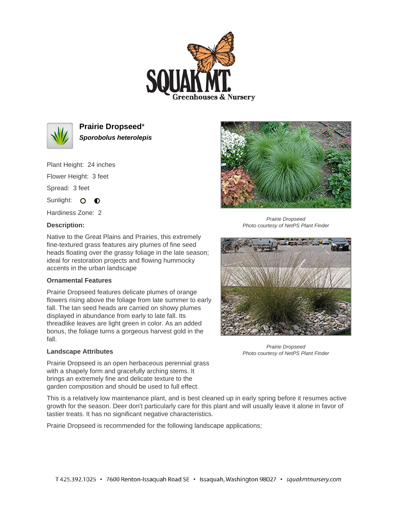



**Prairie Dropseed**\* **Sporobolus heterolepis**

Plant Height: 24 inches

Flower Height: 3 feet

Spread: 3 feet

Sunlight: O **O** 

Hardiness Zone: 2

## **Description:**



Prairie Dropseed Photo courtesy of NetPS Plant Finder

Native to the Great Plains and Prairies, this extremely fine-textured grass features airy plumes of fine seed heads floating over the grassy foliage in the late season; ideal for restoration projects and flowing hummocky accents in the urban landscape

## **Ornamental Features**

Prairie Dropseed features delicate plumes of orange flowers rising above the foliage from late summer to early fall. The tan seed heads are carried on showy plumes displayed in abundance from early to late fall. Its threadlike leaves are light green in color. As an added bonus, the foliage turns a gorgeous harvest gold in the fall.

## **Landscape Attributes**



Prairie Dropseed Photo courtesy of NetPS Plant Finder

Prairie Dropseed is an open herbaceous perennial grass with a shapely form and gracefully arching stems. It brings an extremely fine and delicate texture to the garden composition and should be used to full effect.

This is a relatively low maintenance plant, and is best cleaned up in early spring before it resumes active growth for the season. Deer don't particularly care for this plant and will usually leave it alone in favor of tastier treats. It has no significant negative characteristics.

Prairie Dropseed is recommended for the following landscape applications;